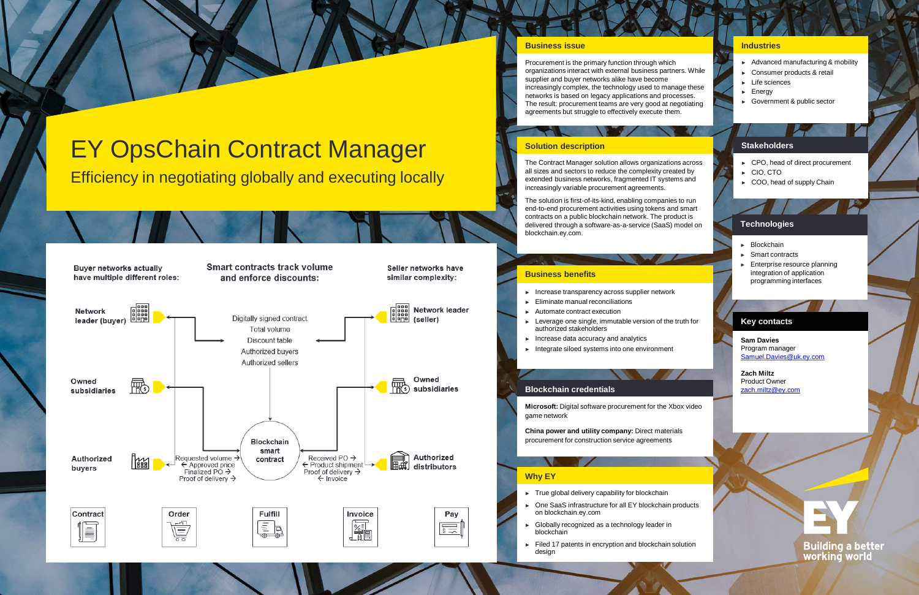#### **Business issue**

Procurement is the primary function through which organizations interact with external business partn supplier and buyer networks alike have become increasingly complex, the technology used to man networks is based on legacy applications and proc The result: procurement teams are very good at negotiating agreements but struggle to effectively execute the

#### **Business benefits**

**Microsoft:** Digital software procurement for the Xbox videos game network

**China power and utility company: Direct material** procurement for construction service agreements

- ► Increase transparency across supplier network
- ► Eliminate manual reconciliations
- ► Automate contract execution
- $\blacktriangleright$  Leverage one single, immutable version of the authorized stakeholders
- ► Increase data accuracy and analytics
- ► Integrate siloed systems into one environment

The Contract Manager solution allows organization all sizes and sectors to reduce the complexity created by extended business networks, fragmented IT system increasingly variable procurement agreements.

The solution is first-of-its-kind, enabling companies end-to-end procurement activities using tokens an contracts on a public blockchain network. The prod delivered through a software-as-a-service (SaaS) blockchain.ey.com.

#### **Blockchain credentials**

#### **Solution description**

|                                                        | <b>Industries</b>                                                                                                          |  |
|--------------------------------------------------------|----------------------------------------------------------------------------------------------------------------------------|--|
| ers. While<br>age these<br>cesses.<br>egotiating<br>m. | Advanced manufacturing & mobility<br>Consumer products & retail<br>Life sciences<br>Energy<br>Government & public sector   |  |
|                                                        |                                                                                                                            |  |
|                                                        | <b>Stakeholders</b>                                                                                                        |  |
| ns across<br>ated by<br>ms and                         | CPO, head of direct procurement<br>CIO, CTO<br>COO, head of supply Chain                                                   |  |
| s to run<br>d smart                                    |                                                                                                                            |  |
| duct is<br>model on                                    | <b>Technologies</b>                                                                                                        |  |
|                                                        | Blockchain<br>Smart contracts<br>Enterprise resource planning<br>ы<br>integration of application<br>programming interfaces |  |
|                                                        |                                                                                                                            |  |
| truth for                                              | <b>Key contacts</b><br><b>Sam Davies</b><br>Program manager<br>Samuel.Davies@uk.ey.com                                     |  |
|                                                        | <b>Zach Miltz</b><br><b>Product Owner</b><br>zach.miltz@ey.com                                                             |  |
| oox video                                              |                                                                                                                            |  |
| als                                                    |                                                                                                                            |  |
|                                                        |                                                                                                                            |  |
| oroducts                                               |                                                                                                                            |  |
| solution                                               | <b>Building a better<br/>working world</b>                                                                                 |  |
|                                                        |                                                                                                                            |  |

### **Why EY**

- ► True global delivery capability for blockchain
- One SaaS infrastructure for all EY blockchain products on blockchain.ey.com
- ► Globally recognized as a technology leader in blockchain
- ► Filed 17 patents in encryption and blockchain s design

# EY OpsChain Contract Manager

Efficiency in negotiating globally and executing locally

**Buyer networks actually** have multiple different roles: **Smart contracts track volume** and enforce discounts:

Seller networks have similar complexity: